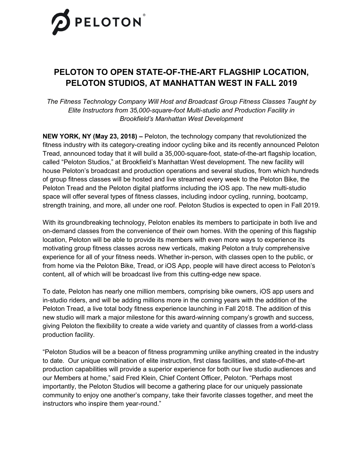

## **PELOTON TO OPEN STATE-OF-THE-ART FLAGSHIP LOCATION, PELOTON STUDIOS, AT MANHATTAN WEST IN FALL 2019**

*The Fitness Technology Company Will Host and Broadcast Group Fitness Classes Taught by Elite Instructors from 35,000-square-foot Multi-studio and Production Facility in Brookfield's Manhattan West Development*

**NEW YORK, NY (May 23, 2018) –** Peloton, the technology company that revolutionized the fitness industry with its category-creating indoor cycling bike and its recently announced Peloton Tread, announced today that it will build a 35,000-square-foot, state-of-the-art flagship location, called "Peloton Studios," at Brookfield's Manhattan West development. The new facility will house Peloton's broadcast and production operations and several studios, from which hundreds of group fitness classes will be hosted and live streamed every week to the Peloton Bike, the Peloton Tread and the Peloton digital platforms including the iOS app. The new multi-studio space will offer several types of fitness classes, including indoor cycling, running, bootcamp, strength training, and more, all under one roof. Peloton Studios is expected to open in Fall 2019.

With its groundbreaking technology, Peloton enables its members to participate in both live and on-demand classes from the convenience of their own homes. With the opening of this flagship location, Peloton will be able to provide its members with even more ways to experience its motivating group fitness classes across new verticals, making Peloton a truly comprehensive experience for all of your fitness needs. Whether in-person, with classes open to the public, or from home via the Peloton Bike, Tread, or iOS App, people will have direct access to Peloton's content, all of which will be broadcast live from this cutting-edge new space.

To date, Peloton has nearly one million members, comprising bike owners, iOS app users and in-studio riders, and will be adding millions more in the coming years with the addition of the Peloton Tread, a live total body fitness experience launching in Fall 2018. The addition of this new studio will mark a major milestone for this award-winning company's growth and success, giving Peloton the flexibility to create a wide variety and quantity of classes from a world-class production facility.

"Peloton Studios will be a beacon of fitness programming unlike anything created in the industry to date. Our unique combination of elite instruction, first class facilities, and state-of-the-art production capabilities will provide a superior experience for both our live studio audiences and our Members at home," said Fred Klein, Chief Content Officer, Peloton. "Perhaps most importantly, the Peloton Studios will become a gathering place for our uniquely passionate community to enjoy one another's company, take their favorite classes together, and meet the instructors who inspire them year-round."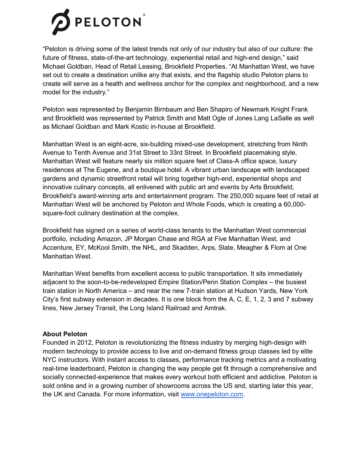

"Peloton is driving some of the latest trends not only of our industry but also of our culture: the future of fitness, state-of-the-art technology, experiential retail and high-end design," said Michael Goldban, Head of Retail Leasing, Brookfield Properties. "At Manhattan West, we have set out to create a destination unlike any that exists, and the flagship studio Peloton plans to create will serve as a health and wellness anchor for the complex and neighborhood, and a new model for the industry."

Peloton was represented by Benjamin Birnbaum and Ben Shapiro of Newmark Knight Frank and Brookfield was represented by Patrick Smith and Matt Ogle of Jones Lang LaSalle as well as Michael Goldban and Mark Kostic in-house at Brookfield.

Manhattan West is an eight-acre, six-building mixed-use development, stretching from Ninth Avenue to Tenth Avenue and 31st Street to 33rd Street. In Brookfield placemaking style, Manhattan West will feature nearly six million square feet of Class-A office space, luxury residences at The Eugene, and a boutique hotel. A vibrant urban landscape with landscaped gardens and dynamic streetfront retail will bring together high-end, experiential shops and innovative culinary concepts, all enlivened with public art and events by Arts Brookfield, Brookfield's award-winning arts and entertainment program. The 250,000 square feet of retail at Manhattan West will be anchored by Peloton and Whole Foods, which is creating a 60,000 square-foot culinary destination at the complex.

Brookfield has signed on a series of world-class tenants to the Manhattan West commercial portfolio, including Amazon, JP Morgan Chase and RGA at Five Manhattan West, and Accenture, EY, McKool Smith, the NHL, and Skadden, Arps, Slate, Meagher & Flom at One Manhattan West.

Manhattan West benefits from excellent access to public transportation. It sits immediately adjacent to the soon-to-be-redeveloped Empire Station/Penn Station Complex – the busiest train station in North America – and near the new 7-train station at Hudson Yards, New York City's first subway extension in decades. It is one block from the A, C, E, 1, 2, 3 and 7 subway lines, New Jersey Transit, the Long Island Railroad and Amtrak.

## **About Peloton**

Founded in 2012, Peloton is revolutionizing the fitness industry by merging high-design with modern technology to provide access to live and on-demand fitness group classes led by elite NYC instructors. With instant access to classes, performance tracking metrics and a motivating real-time leaderboard, Peloton is changing the way people get fit through a comprehensive and socially connected-experience that makes every workout both efficient and addictive. Peloton is sold online and in a growing number of showrooms across the US and, starting later this year, the UK and Canada. For more information, visit [www.onepeloton.com.](http://www.onepeloton.com/)